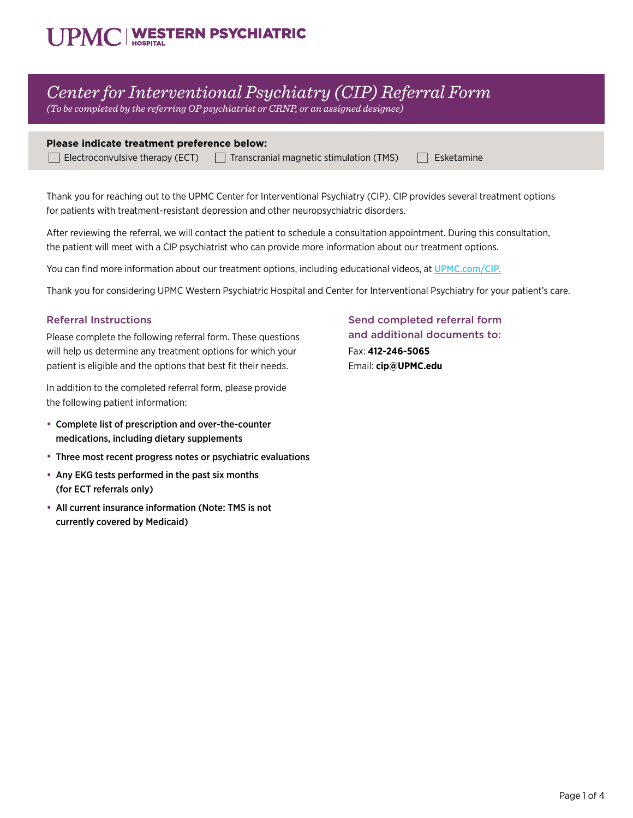# **JPMC | WESTERN PSYCHIATRIC**

## *Center for Interventional Psychiatry (CIP) Referral Form*

*(To be completed by the referring OP psychiatrist or CRNP, or an assigned designee)*

#### **Please indicate treatment preference below:**

 $\Box$  Electroconvulsive therapy (ECT)  $\Box$  Transcranial magnetic stimulation (TMS)  $\Box$  Esketamine

Thank you for reaching out to the UPMC Center for Interventional Psychiatry (CIP). CIP provides several treatment options for patients with treatment-resistant depression and other neuropsychiatric disorders.

After reviewing the referral, we will contact the patient to schedule a consultation appointment. During this consultation, the patient will meet with a CIP psychiatrist who can provide more information about our treatment options.

You can find more information about our treatment options, including educational videos, at UPMC.com/CI[P.](http://UPMC.com/CIP)

Thank you for considering UPMC Western Psychiatric Hospital and Center for Interventional Psychiatry for your patient's care.

#### Referral Instructions

Please complete the following referral form. These questions will help us determine any treatment options for which your patient is eligible and the options that best fit their needs.

In addition to the completed referral form, please provide the following patient information:

- Complete list of prescription and over-the-counter medications, including dietary supplements
- Three most recent progress notes or psychiatric evaluations
- Any EKG tests performed in the past six months (for ECT referrals only)
- All current insurance information (Note: TMS is not currently covered by Medicaid)

Send completed referral form and additional documents to: Fax: **412-246-5065** Email: **cip@UPMC.edu**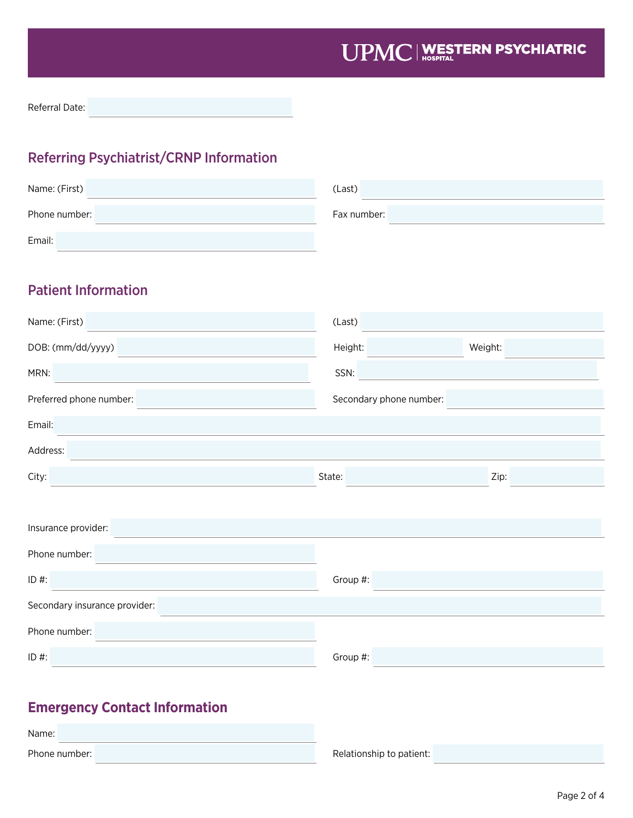Referral Date:

### Referring Psychiatrist/CRNP Information

| Name: (First) | (Last)      |
|---------------|-------------|
| Phone number: | Fax number: |
| Email:        |             |

### Patient Information

| Name: (First)                 | (Last)                  |  |  |
|-------------------------------|-------------------------|--|--|
| DOB: (mm/dd/yyyy)             | Height:<br>Weight:      |  |  |
| MRN:                          | SSN:                    |  |  |
| Preferred phone number:       | Secondary phone number: |  |  |
| Email:                        |                         |  |  |
| Address:                      |                         |  |  |
| City:                         | Zip:<br>State:          |  |  |
|                               |                         |  |  |
| Insurance provider:           |                         |  |  |
| Phone number:                 |                         |  |  |
| $ID$ #:                       | Group #:                |  |  |
| Secondary insurance provider: |                         |  |  |
| Phone number:                 |                         |  |  |
| ID#:                          | Group #:                |  |  |

### **Emergency Contact Information**

| Name: |               |  |
|-------|---------------|--|
|       | Phone number: |  |

Relationship to patient: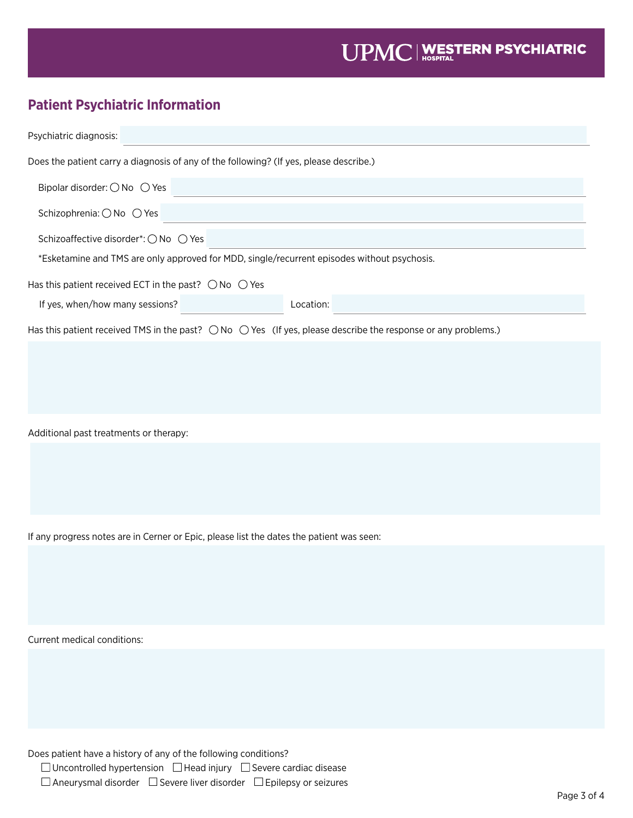### **Patient Psychiatric Information**

| Psychiatric diagnosis:                                                                                                          |  |  |  |
|---------------------------------------------------------------------------------------------------------------------------------|--|--|--|
| Does the patient carry a diagnosis of any of the following? (If yes, please describe.)                                          |  |  |  |
| Bipolar disorder: $\bigcirc$ No $\bigcirc$ Yes                                                                                  |  |  |  |
| Schizophrenia: ○ No ○ Yes                                                                                                       |  |  |  |
| Schizoaffective disorder*: ○ No ○ Yes                                                                                           |  |  |  |
| *Esketamine and TMS are only approved for MDD, single/recurrent episodes without psychosis.                                     |  |  |  |
| Has this patient received ECT in the past? $\bigcirc$ No $\bigcirc$ Yes                                                         |  |  |  |
| If yes, when/how many sessions?<br>Location:                                                                                    |  |  |  |
| Has this patient received TMS in the past? $\bigcirc$ No $\bigcirc$ Yes (If yes, please describe the response or any problems.) |  |  |  |
|                                                                                                                                 |  |  |  |
|                                                                                                                                 |  |  |  |
|                                                                                                                                 |  |  |  |
| Additional past treatments or therapy:                                                                                          |  |  |  |
|                                                                                                                                 |  |  |  |
|                                                                                                                                 |  |  |  |
|                                                                                                                                 |  |  |  |
|                                                                                                                                 |  |  |  |
| If any progress notes are in Cerner or Epic, please list the dates the patient was seen:                                        |  |  |  |
|                                                                                                                                 |  |  |  |
|                                                                                                                                 |  |  |  |
|                                                                                                                                 |  |  |  |
| Current medical conditions:                                                                                                     |  |  |  |

Does patient have a history of any of the following conditions?

 $\Box$  Uncontrolled hypertension  $\Box$  Head injury  $\Box$  Severe cardiac disease

 $\Box$  Aneurysmal disorder  $\Box$  Severe liver disorder  $\Box$  Epilepsy or seizures